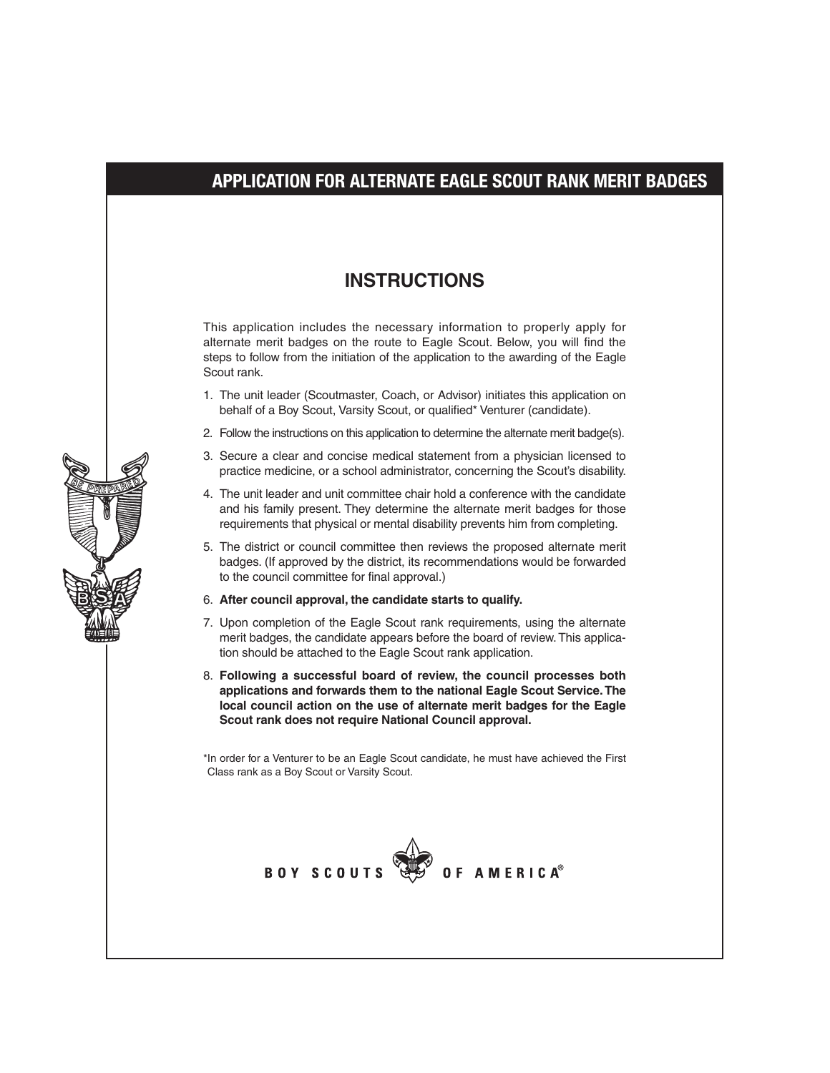## **APPLICATION FOR ALTERNATE EAGLE SCOUT RANK MERIT BADGES**

#### **INSTRUCTIONS**

This application includes the necessary information to properly apply for alternate merit badges on the route to Eagle Scout. Below, you will find the steps to follow from the initiation of the application to the awarding of the Eagle Scout rank.

- 1. The unit leader (Scoutmaster, Coach, or Advisor) initiates this application on behalf of a Boy Scout, Varsity Scout, or qualified\* Venturer (candidate).
- 2. Follow the instructions on this application to determine the alternate merit badge(s).
- 3. Secure a clear and concise medical statement from a physician licensed to practice medicine, or a school administrator, concerning the Scout's disability.
- 4. The unit leader and unit committee chair hold a conference with the candidate and his family present. They determine the alternate merit badges for those requirements that physical or mental disability prevents him from completing.
- 5. The district or council committee then reviews the proposed alternate merit badges. (If approved by the district, its recommendations would be forwarded to the council committee for final approval.)

#### 6. **After council approval, the candidate starts to qualify.**

- 7. Upon completion of the Eagle Scout rank requirements, using the alternate merit badges, the candidate appears before the board of review. This application should be attached to the Eagle Scout rank application.
- 8. **Following a successful board of review, the council processes both applications and forwards them to the national Eagle Scout Service. The local council action on the use of alternate merit badges for the Eagle Scout rank does not require National Council approval.**

\*In order for a Venturer to be an Eagle Scout candidate, he must have achieved the First Class rank as a Boy Scout or Varsity Scout.



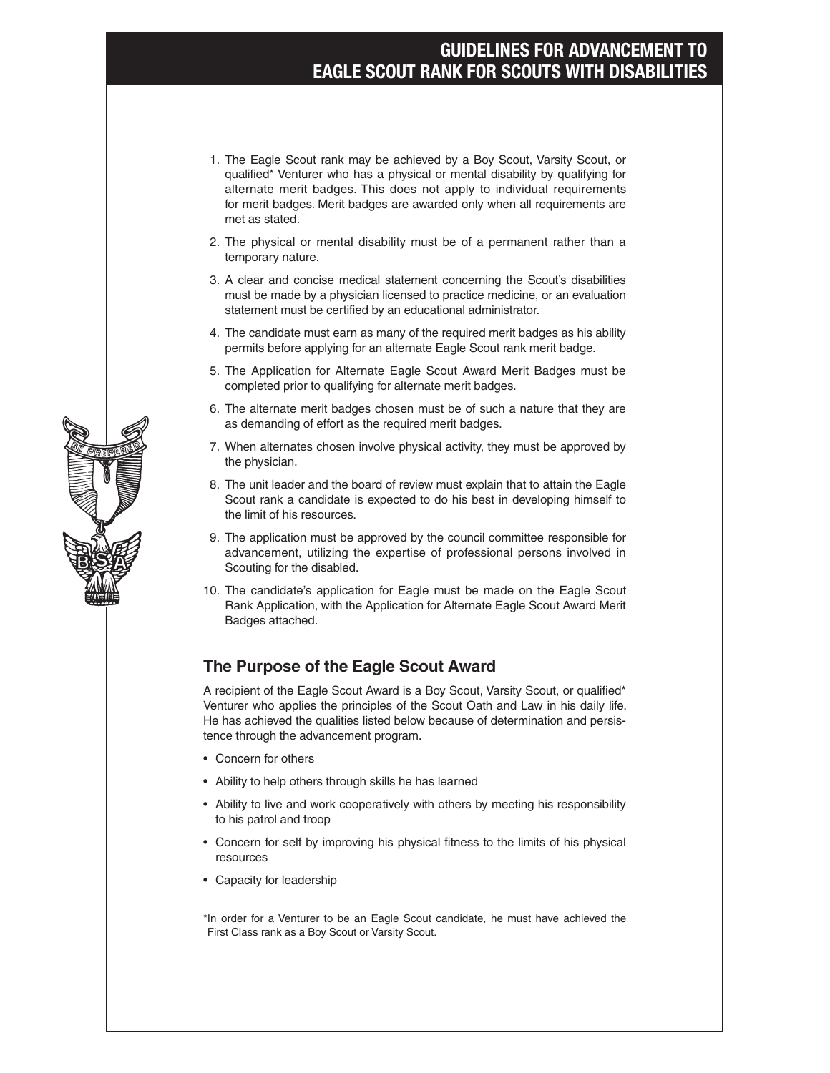### **GUIDELINES FOR ADVANCEMENT TO EAGLE SCOUT RANK FOR SCOUTS WITH DISABILITIES**

- 1. The Eagle Scout rank may be achieved by a Boy Scout, Varsity Scout, or qualified\* Venturer who has a physical or mental disability by qualifying for alternate merit badges. This does not apply to individual requirements for merit badges. Merit badges are awarded only when all requirements are met as stated.
- 2. The physical or mental disability must be of a permanent rather than a temporary nature.
- 3. A clear and concise medical statement concerning the Scout's disabilities must be made by a physician licensed to practice medicine, or an evaluation statement must be certified by an educational administrator.
- 4. The candidate must earn as many of the required merit badges as his ability permits before applying for an alternate Eagle Scout rank merit badge.
- 5. The Application for Alternate Eagle Scout Award Merit Badges must be completed prior to qualifying for alternate merit badges.
- 6. The alternate merit badges chosen must be of such a nature that they are as demanding of effort as the required merit badges.
- 7. When alternates chosen involve physical activity, they must be approved by the physician.
- 8. The unit leader and the board of review must explain that to attain the Eagle Scout rank a candidate is expected to do his best in developing himself to the limit of his resources.
- 9. The application must be approved by the council committee responsible for advancement, utilizing the expertise of professional persons involved in Scouting for the disabled.
- 10. The candidate's application for Eagle must be made on the Eagle Scout Rank Application, with the Application for Alternate Eagle Scout Award Merit Badges attached.

#### **The Purpose of the Eagle Scout Award**

A recipient of the Eagle Scout Award is a Boy Scout, Varsity Scout, or qualified\* Venturer who applies the principles of the Scout Oath and Law in his daily life. He has achieved the qualities listed below because of determination and persistence through the advancement program.

- • Concern for others
- • Ability to help others through skills he has learned
- Ability to live and work cooperatively with others by meeting his responsibility to his patrol and troop
- Concern for self by improving his physical fitness to the limits of his physical resources
- • Capacity for leadership
- \*In order for a Venturer to be an Eagle Scout candidate, he must have achieved the First Class rank as a Boy Scout or Varsity Scout.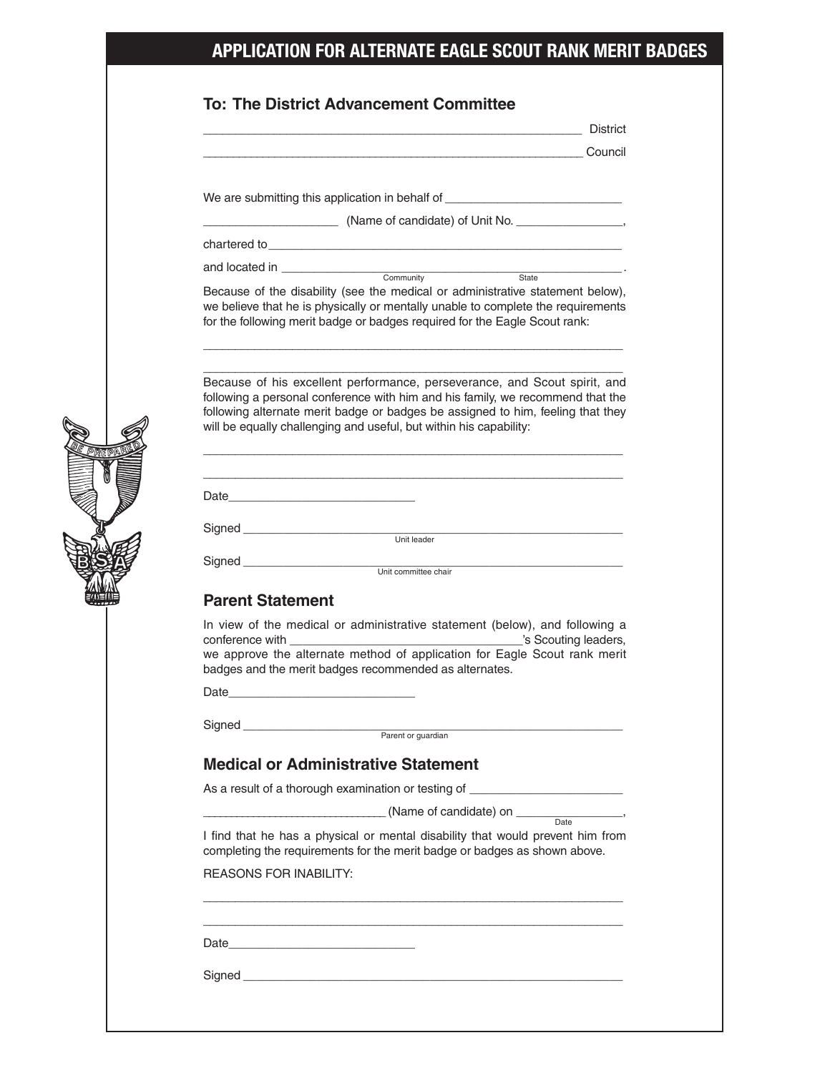# **APPLICATION FOR ALTERNATE EAGLE SCOUT RANK MERIT BADGES**

|                               | <b>District</b><br><u> 1989 - Johann Stein, marwolaethau a bhann an t-Albann an t-Albann an t-Albann an t-Albann an t-Albann an t-Alb</u>                                                                                                                                                                            |
|-------------------------------|----------------------------------------------------------------------------------------------------------------------------------------------------------------------------------------------------------------------------------------------------------------------------------------------------------------------|
|                               | <u> 1986 - Council American State (1986), connoil anno 1992.</u>                                                                                                                                                                                                                                                     |
|                               |                                                                                                                                                                                                                                                                                                                      |
|                               | We are submitting this application in behalf of ________________________________                                                                                                                                                                                                                                     |
|                               |                                                                                                                                                                                                                                                                                                                      |
|                               |                                                                                                                                                                                                                                                                                                                      |
|                               | Because of the disability (see the medical or administrative statement below),<br>we believe that he is physically or mentally unable to complete the requirements<br>for the following merit badge or badges required for the Eagle Scout rank:                                                                     |
|                               | Because of his excellent performance, perseverance, and Scout spirit, and<br>following a personal conference with him and his family, we recommend that the<br>following alternate merit badge or badges be assigned to him, feeling that they<br>will be equally challenging and useful, but within his capability: |
|                               |                                                                                                                                                                                                                                                                                                                      |
|                               | Signed<br>Unit leader<br>Unit leader                                                                                                                                                                                                                                                                                 |
|                               | Signed<br>Unit committee chair                                                                                                                                                                                                                                                                                       |
|                               |                                                                                                                                                                                                                                                                                                                      |
| <b>Parent Statement</b>       |                                                                                                                                                                                                                                                                                                                      |
|                               | In view of the medical or administrative statement (below), and following a<br>we approve the alternate method of application for Eagle Scout rank merit                                                                                                                                                             |
|                               | badges and the merit badges recommended as alternates.                                                                                                                                                                                                                                                               |
|                               |                                                                                                                                                                                                                                                                                                                      |
|                               | Signed<br>Parent or guardian                                                                                                                                                                                                                                                                                         |
|                               | <b>Medical or Administrative Statement</b>                                                                                                                                                                                                                                                                           |
|                               | As a result of a thorough examination or testing of ____________________________                                                                                                                                                                                                                                     |
|                               | $\sqrt{Name of candidate}$ on $\frac{Date}{Date}$ ,                                                                                                                                                                                                                                                                  |
|                               | I find that he has a physical or mental disability that would prevent him from<br>completing the requirements for the merit badge or badges as shown above.                                                                                                                                                          |
| <b>REASONS FOR INABILITY:</b> |                                                                                                                                                                                                                                                                                                                      |
|                               |                                                                                                                                                                                                                                                                                                                      |
|                               |                                                                                                                                                                                                                                                                                                                      |